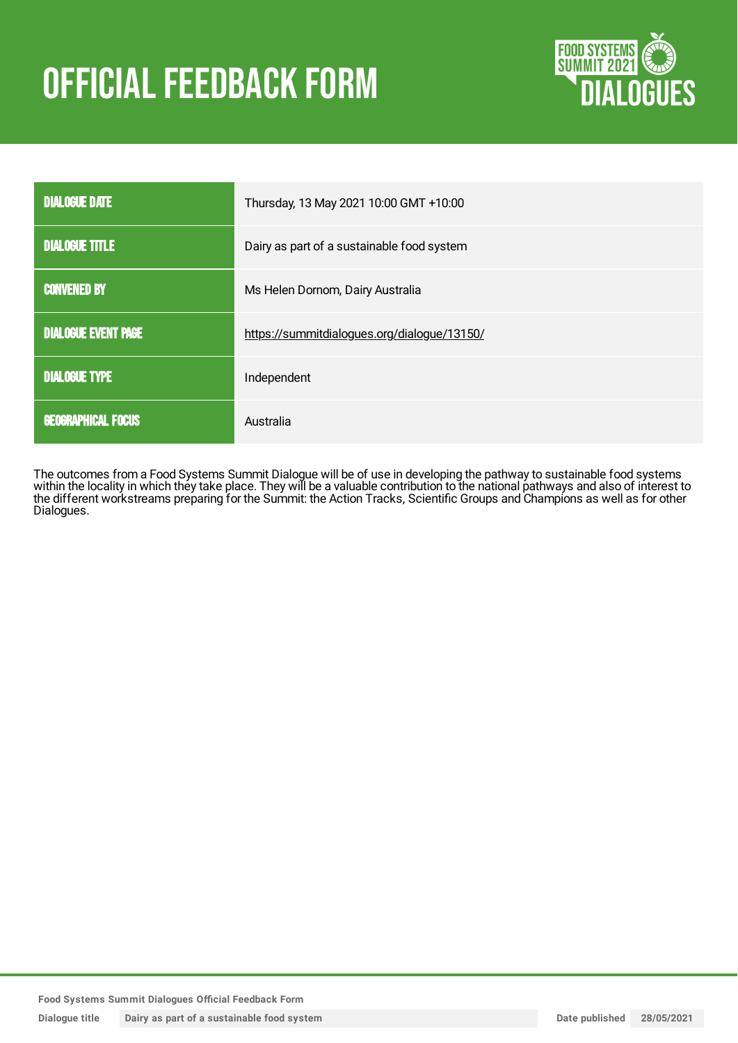# **OFFICIAL FEEDBACK FORM**



| <b>DIALOGUE DATE</b>       | Thursday, 13 May 2021 10:00 GMT +10:00      |
|----------------------------|---------------------------------------------|
| <b>DIALOGUE TITLE</b>      | Dairy as part of a sustainable food system  |
| <b>CONVENED BY</b>         | Ms Helen Dornom, Dairy Australia            |
| <b>DIALOGUE EVENT PAGE</b> | https://summitdialogues.org/dialogue/13150/ |
| <b>DIALOGUE TYPE</b>       | Independent                                 |
| <b>GEOGRAPHICAL FOCUS</b>  | Australia                                   |

The outcomes from a Food Systems Summit Dialogue will be of use in developing the pathway to sustainable food systems within the locality in which they take place. They will be a valuable contribution to the national pathways and also of interest to the different workstreams preparing for the Summit: the Action Tracks, Scientific Groups and Champions as well as for other Dialogues.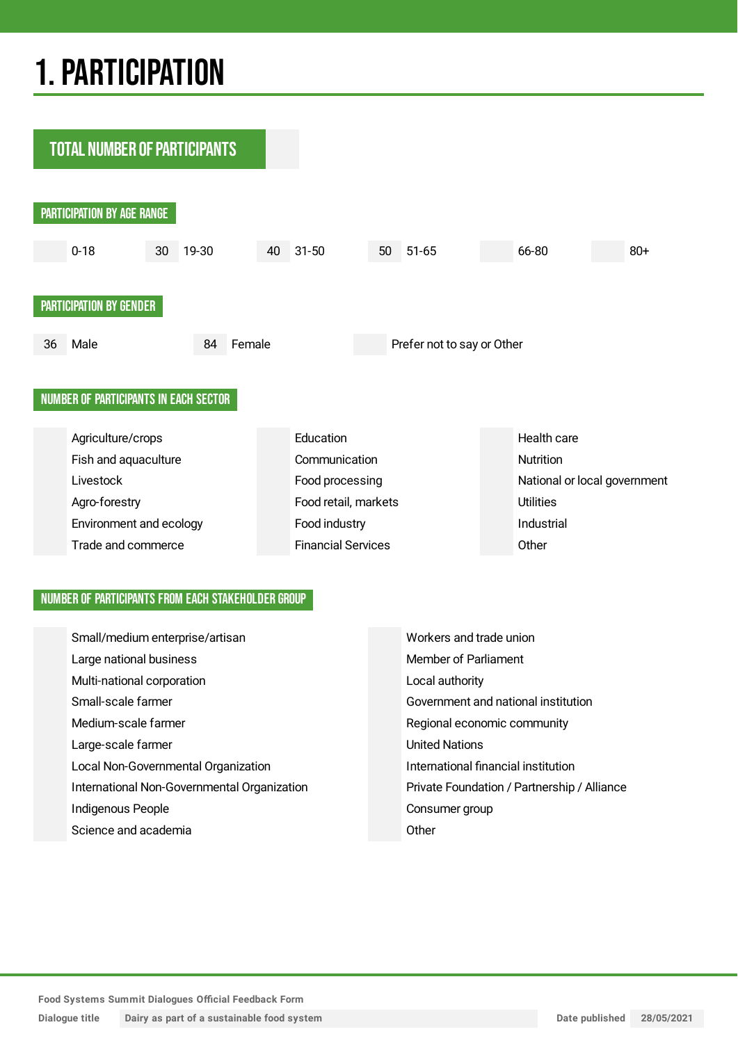## 1.PARTICIPATION

**TOTAL NUMBER OF PARTICIPANTS** PARTICIPATION BY AGE RANGE 0-18 30 19-30 40 31-50 50 51-65 66-80 80+ PARTICIPATION BY GENDER 36 Male 84 Female Prefer not to say or Other NUMBER OF PARTICIPANTS IN EACH SECTOR Agriculture/crops **Education** Education **Education** Health care Fish and aquaculture Communication Communication Livestock **Food processing** Food processing National or local government Agro-forestry **Example 2018** Food retail, markets Utilities Environment and ecology **Food industry** Food industry **Industrial** Trade and commerce **Financial Services** Changes Other

#### NUMBER OF PARTICIPANTS FROM EACH STAKEHOLDER GROUP

| Small/medium enterprise/artisan             | Workers and trade union                     |
|---------------------------------------------|---------------------------------------------|
| Large national business                     | Member of Parliament                        |
| Multi-national corporation                  | Local authority                             |
| Small-scale farmer                          | Government and national institution         |
| Medium-scale farmer                         | Regional economic community                 |
| Large-scale farmer                          | <b>United Nations</b>                       |
| Local Non-Governmental Organization         | International financial institution         |
| International Non-Governmental Organization | Private Foundation / Partnership / Alliance |
| Indigenous People                           | Consumer group                              |
| Science and academia                        | Other                                       |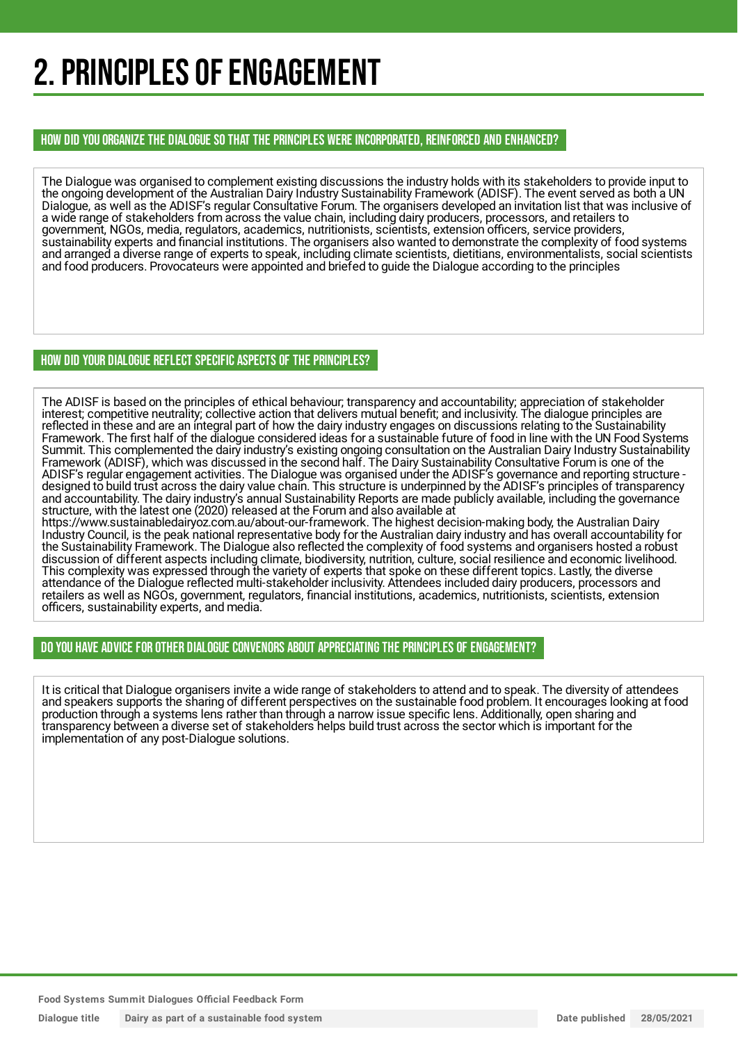## 2. PRINCIPLES OF ENGAGEMENT

HOW DID YOU ORGANIZE THE DIALOGUE SO THAT THE PRINCIPLES WERE INCORPORATED, REINFORCED AND ENHANCED?

The Dialogue was organised to complement existing discussions the industry holds with its stakeholders to provide input to the ongoing development of the Australian Dairy Industry Sustainability Framework (ADISF). The event served as both a UN Dialogue, as well as the ADISF's regular Consultative Forum. The organisers developed an invitation list that was inclusive of a wide range of stakeholders from across the value chain, including dairy producers, processors, and retailers to government, NGOs, media, regulators, academics, nutritionists, scientists, extension officers, service providers, sustainability experts and financial institutions. The organisers also wanted to demonstrate the complexity of food systems and arranged a diverse range of experts to speak, including climate scientists, dietitians, environmentalists, social scientists and food producers. Provocateurs were appointed and briefed to guide the Dialogue according to the principles

#### HOW DID YOUR DIALOGUE REFLECT SPECIFIC ASPECTS OF THE PRINCIPLES?

The ADISF is based on the principles of ethical behaviour; transparency and accountability; appreciation of stakeholder interest; competitive neutrality; collective action that delivers mutual benefit; and inclusivity. The dialogue principles are reflected in these and are an integral part of how the dairy industry engages on discussions relating to the Sustainability Framework. The first half of the dialogue considered ideas for a sustainable future of food in line with the UN Food Systems Summit. This complemented the dairy industry's existing ongoing consultation on the Australian Dairy Industry Sustainability Framework (ADISF), which was discussed in the second half. The Dairy Sustainability Consultative Forum is one of the ADISF's regular engagement activities. The Dialogue was organised under the ADISF's governance and reporting structure designed to build trust across the dairy value chain. This structure is underpinned by the ADISF's principles of transparency and accountability. The dairy industry's annual Sustainability Reports are made publicly available, including the governance structure, with the latest one (2020) released at the Forum and also available at

https://www.sustainabledairyoz.com.au/about-our-framework. The highest decision-making body, the Australian Dairy Industry Council, is the peak national representative body for the Australian dairy industry and has overall accountability for the Sustainability Framework. The Dialogue also reflected the complexity of food systems and organisers hosted a robust discussion of different aspects including climate, biodiversity, nutrition, culture, social resilience and economic livelihood. This complexity was expressed through the variety of experts that spoke on these different topics. Lastly, the diverse attendance of the Dialogue reflected multi-stakeholder inclusivity. Attendees included dairy producers, processors and retailers as well as NGOs, government, regulators, financial institutions, academics, nutritionists, scientists, extension officers, sustainability experts, and media.

#### DO YOU HAVE ADVICE FOR OTHER DIALOGUE CONVENORS ABOUT APPRECIATING THE PRINCIPLES OF ENGAGEMENT?

It is critical that Dialogue organisers invite a wide range of stakeholders to attend and to speak. The diversity of attendees and speakers supports the sharing of different perspectives on the sustainable food problem. It encourages looking at food production through a systems lens rather than through a narrow issue specific lens. Additionally, open sharing and transparency between a diverse set of stakeholders helps build trust across the sector which is important for the implementation of any post-Dialogue solutions.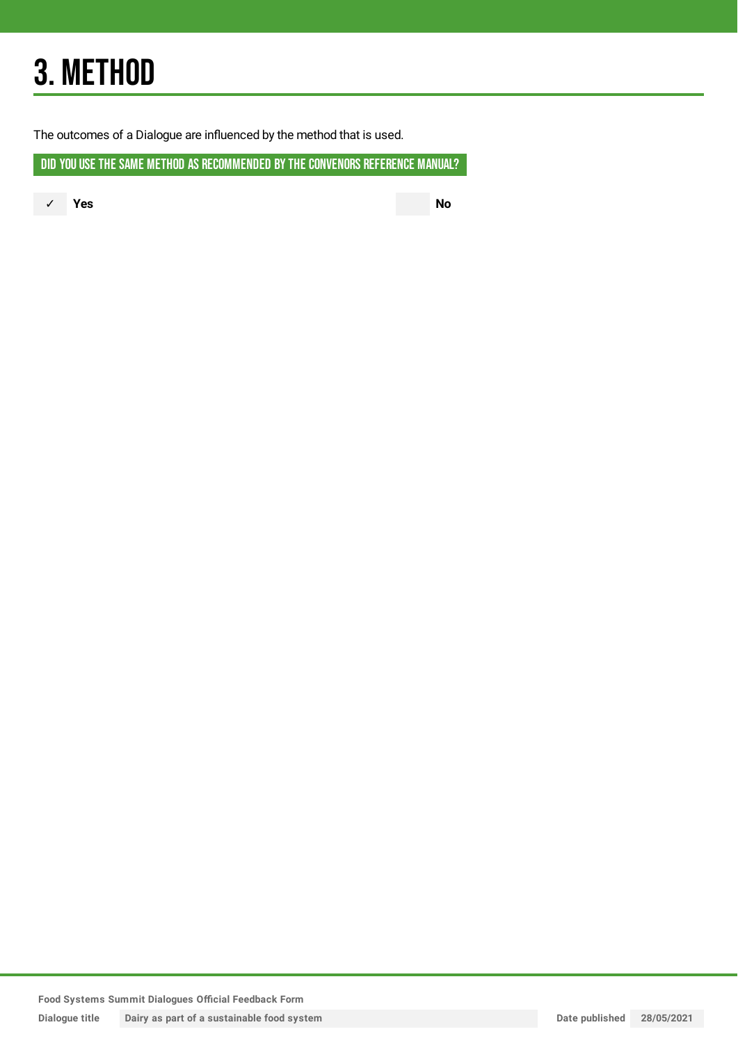## 3. METHOD

The outcomes of a Dialogue are influenced by the method that is used.

DID YOU USE THE SAME METHOD AS RECOMMENDED BY THE CONVENORS REFERENCE MANUAL?

✓ **Yes No**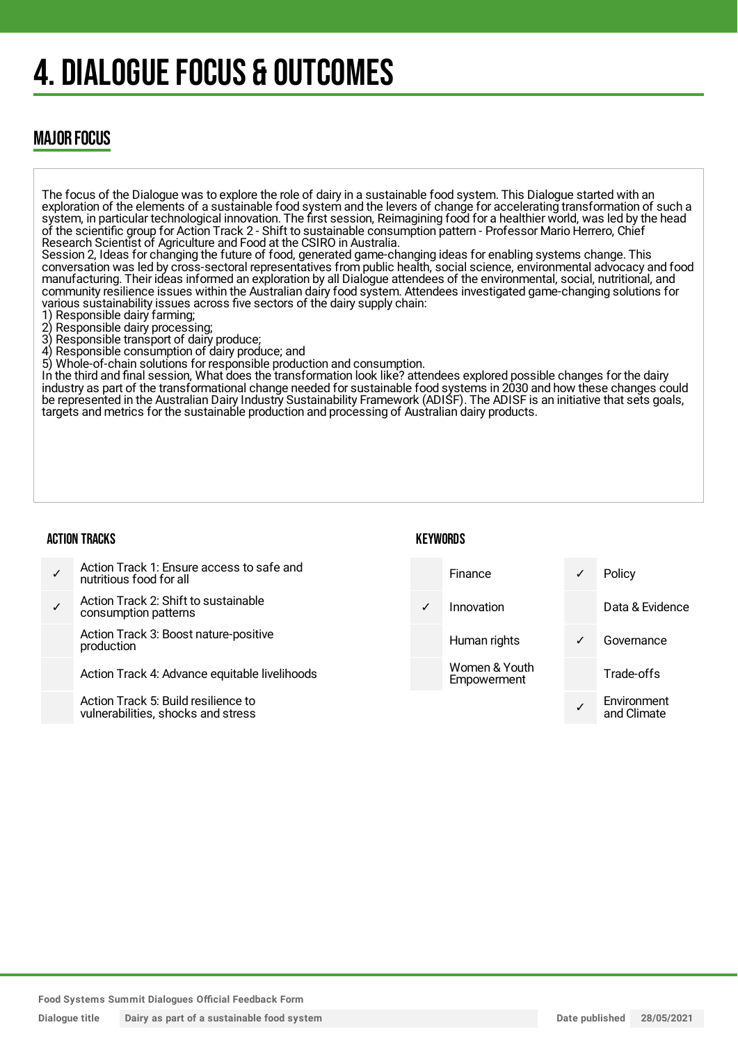## 4. DIALOGUE FOCUS & OUTCOMES

### MAJOR FOCUS

The focus of the Dialogue was to explore the role of dairy in a sustainable food system. This Dialogue started with an exploration of the elements of a sustainable food system and the levers of change for accelerating transformation of such a system, in particular technological innovation. The first session, Reimagining food for a healthier world, was led by the head of the scientific group for Action Track 2 - Shift to sustainable consumption pattern - Professor Mario Herrero, Chief Research Scientist of Agriculture and Food at the CSIRO in Australia. Session 2, Ideas for changing the future of food, generated game-changing ideas for enabling systems change. This conversation was led by cross-sectoral representatives from public health, social science, environmental advocacy and food manufacturing. Their ideas informed an exploration by all Dialogue attendees of the environmental, social, nutritional, and community resilience issues within the Australian dairy food system. Attendees investigated game-changing solutions for various sustainability issues across five sectors of the dairy supply chain: Responsible dairy farming; 2) Responsible dairy processing; 3) Responsible transport of dairy produce; 4) Responsible consumption of dairy produce; and 5) Whole-of-chain solutions for responsible production and consumption. In the third and final session, What does the transformation look like? attendees explored possible changes for the dairy industry as part of the transformational change needed for sustainable food systems in 2030 and how these changes could be represented in the Australian Dairy Industry Sustainability Framework (ADISF). The ADISF is an initiative that sets goals, targets and metrics for the sustainable production and processing of Australian dairy products.

#### ACTION TRACKS

#### **KFYWORDS**

| Action Track 1: Ensure access to safe and<br>nutritious food for all      |              | <b>Finance</b>               | ✓ | Policy                     |
|---------------------------------------------------------------------------|--------------|------------------------------|---|----------------------------|
| Action Track 2: Shift to sustainable<br>consumption patterns              | $\checkmark$ | Innovation                   |   | Data & Evidence            |
| Action Track 3: Boost nature-positive<br>production                       |              | Human rights                 | √ | Governance                 |
| Action Track 4: Advance equitable livelihoods                             |              | Women & Youth<br>Empowerment |   | Trade-offs                 |
| Action Track 5: Build resilience to<br>vulnerabilities, shocks and stress |              |                              |   | Environment<br>and Climate |
|                                                                           |              |                              |   |                            |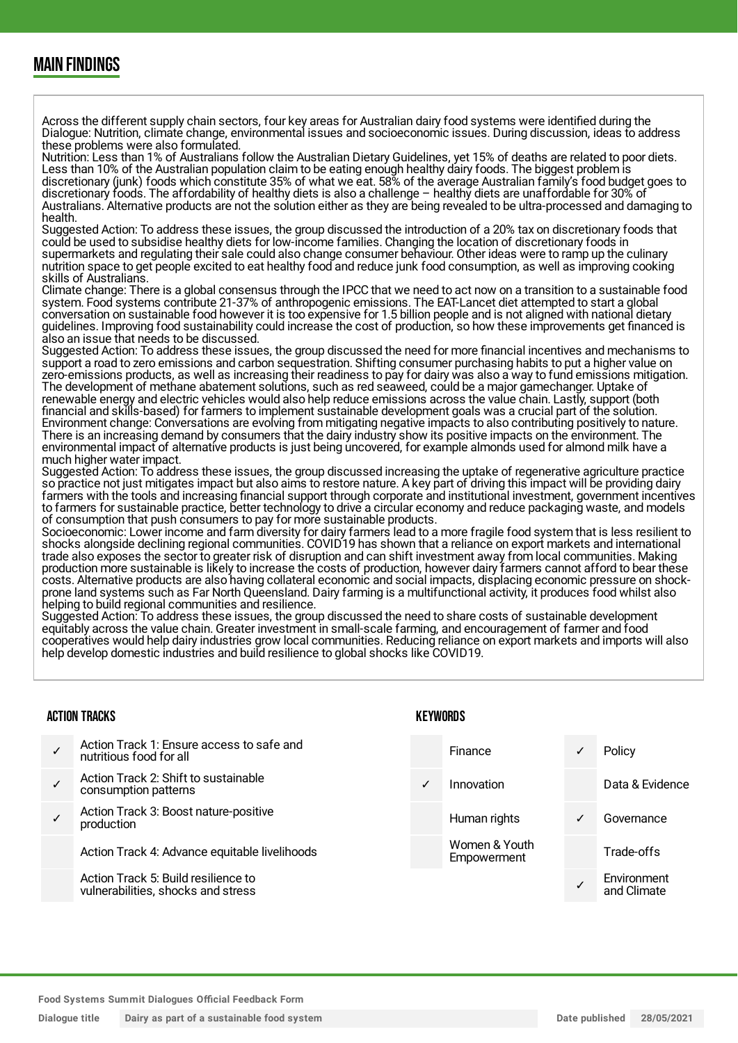### MAIN FINDINGS

Across the different supply chain sectors, four key areas for Australian dairy food systems were identified during the Dialogue: Nutrition, climate change, environmental issues and socioeconomic issues. During discussion, ideas to address these problems were also formulated.

Nutrition: Less than 1% of Australians follow the Australian Dietary Guidelines, yet 15% of deaths are related to poor diets. Less than 10% of the Australian population claim to be eating enough healthy dairy foods. The biggest problem is discretionary (junk) foods which constitute 35% of what we eat. 58% of the average Australian family's food budget goes to discretionary foods. The affordability of healthy diets is also a challenge – healthy diets are unaffordable for 30% of Australians. Alternative products are not the solution either as they are being revealed to be ultra-processed and damaging to health.

Suggested Action: To address these issues, the group discussed the introduction of a 20% tax on discretionary foods that could be used to subsidise healthy diets for low-income families. Changing the location of discretionary foods in supermarkets and regulating their sale could also change consumer behaviour. Other ideas were to ramp up the culinary nutrition space to get people excited to eat healthy food and reduce junk food consumption, as well as improving cooking skills of Australians.

Climate change: There is a global consensus through the IPCC that we need to act now on a transition to a sustainable food system. Food systems contribute 21-37% of anthropogenic emissions. The EAT-Lancet diet attempted to start a global conversation on sustainable food however it is too expensive for 1.5 billion people and is not aligned with national dietary guidelines. Improving food sustainability could increase the cost of production, so how these improvements get financed is also an issue that needs to be discussed.

Suggested Action: To address these issues, the group discussed the need for more financial incentives and mechanisms to support a road to zero emissions and carbon sequestration. Shifting consumer purchasing habits to put a higher value on zero-emissions products, as well as increasing their readiness to pay for dairy was also a way to fund emissions mitigation. The development of methane abatement solutions, such as red seaweed, could be a major gamechanger. Uptake of renewable energy and electric vehicles would also help reduce emissions across the value chain. Lastly, support (both financial and skills-based) for farmers to implement sustainable development goals was a crucial part of the solution. Environment change: Conversations are evolving from mitigating negative impacts to also contributing positively to nature. There is an increasing demand by consumers that the dairy industry show its positive impacts on the environment. The environmental impact of alternative products is just being uncovered, for example almonds used for almond milk have a much higher water impact.

Suggested Action: To address these issues, the group discussed increasing the uptake of regenerative agriculture practice so practice not just mitigates impact but also aims to restore nature. A key part of driving this impact will be providing dairy farmers with the tools and increasing financial support through corporate and institutional investment, government incentives to farmers for sustainable practice, better technology to drive a circular economy and reduce packaging waste, and models of consumption that push consumers to pay for more sustainable products.

Socioeconomic: Lower income and farm diversity for dairy farmers lead to a more fragile food system that is less resilient to shocks alongside declining regional communities. COVID19 has shown that a reliance on export markets and international trade also exposes the sector to greater risk of disruption and can shift investment away from local communities. Making production more sustainable is likely to increase the costs of production, however dairy farmers cannot afford to bear these costs. Alternative products are also having collateral economic and social impacts, displacing economic pressure on shockprone land systems such as Far North Queensland. Dairy farming is a multifunctional activity, it produces food whilst also helping to build regional communities and resilience.

Suggested Action: To address these issues, the group discussed the need to share costs of sustainable development equitably across the value chain. Greater investment in small-scale farming, and encouragement of farmer and food cooperatives would help dairy industries grow local communities. Reducing reliance on export markets and imports will also help develop domestic industries and build resilience to global shocks like COVID19.

#### ACTION TRACKS

- ✓ Action Track 1: Ensure access to safe and nutritious food for all Action Track 2: Shift to sustainable
- ✓ consumption patterns
- ✓ Action Track 3: Boost nature-positive production

Action Track 4: Advance equitable livelihoods

Action Track 5: Build resilience to vulnerabilities, shocks and stress

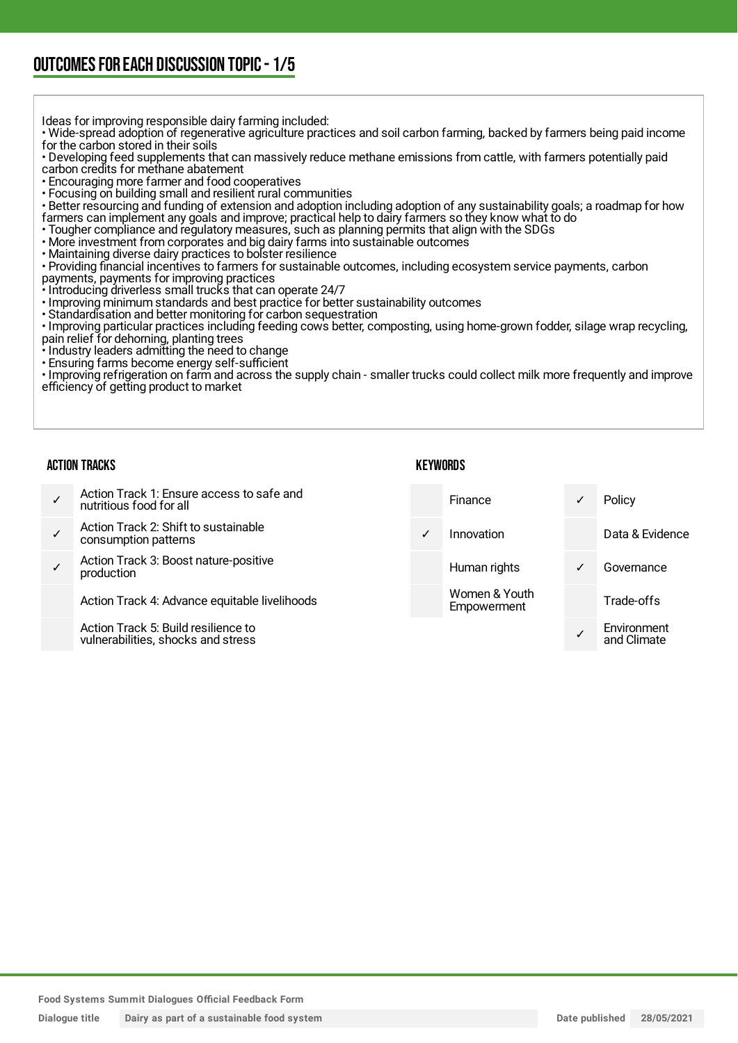## OUTCOMESFOR EACH DISCUSSION TOPIC- 1/5

Ideas for improving responsible dairy farming included:

• Wide-spread adoption of regenerative agriculture practices and soil carbon farming, backed by farmers being paid income for the carbon stored in their soils

• Developing feed supplements that can massively reduce methane emissions from cattle, with farmers potentially paid carbon credits for methane abatement

• Encouraging more farmer and food cooperatives

• Focusing on building small and resilient rural communities

• Better resourcing and funding of extension and adoption including adoption of any sustainability goals; a roadmap for how farmers can implement any goals and improve; practical help to dairy farmers so they know what to do

• Tougher compliance and regulatory measures, such as planning permits that align with the SDGs

• More investment from corporates and big dairy farms into sustainable outcomes

• Maintaining diverse dairy practices to bolster resilience

• Providing financial incentives to farmers for sustainable outcomes, including ecosystem service payments, carbon

payments, payments for improving practices

• Introducing driverless small trucks that can operate 24/7

• Improving minimum standards and best practice for better sustainability outcomes

• Standardisation and better monitoring for carbon sequestration

• Improving particular practices including feeding cows better, composting, using home-grown fodder, silage wrap recycling, pain relief for dehorning, planting trees

- Industry leaders admitting the need to change
- Ensuring farms become energy self-sufficient

• Improving refrigeration on farm and across the supply chain - smaller trucks could collect milk more frequently and improve efficiency of getting product to market

#### ACTION TRACKS

| $\checkmark$ | Action Track 1: Ensure access to safe and<br>nutritious food for all      |              | Finance                      |   | Policy                     |
|--------------|---------------------------------------------------------------------------|--------------|------------------------------|---|----------------------------|
| $\checkmark$ | Action Track 2: Shift to sustainable<br>consumption patterns              | $\checkmark$ | Innovation                   |   | Data & Evidence            |
|              | Action Track 3: Boost nature-positive<br>production                       |              | Human rights                 | ✓ | Governance                 |
|              | Action Track 4: Advance equitable livelihoods                             |              | Women & Youth<br>Empowerment |   | Trade-offs                 |
|              | Action Track 5: Build resilience to<br>vulnerabilities, shocks and stress |              |                              |   | Environment<br>and Climate |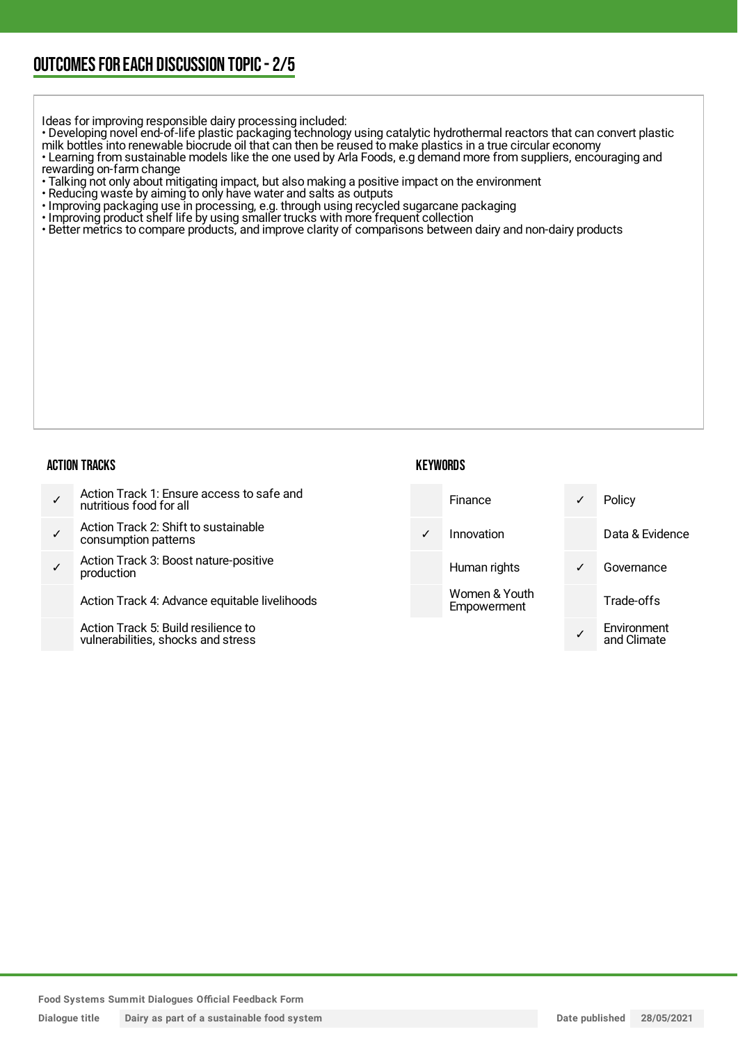## OUTCOMESFOR EACH DISCUSSION TOPIC- 2/5

Ideas for improving responsible dairy processing included:

• Developing novel end-of-life plastic packaging technology using catalytic hydrothermal reactors that can convert plastic

milk bottles into renewable biocrude oil that can then be reused to make plastics in a true circular economy • Learning from sustainable models like the one used by Arla Foods, e.g demand more from suppliers, encouraging and

rewarding on-farm change

- Talking not only about mitigating impact, but also making a positive impact on the environment
- Reducing waste by aiming to only have water and salts as outputs
- Improving packaging use in processing, e.g. through using recycled sugarcane packaging
- Improving product shelf life by using smaller trucks with more frequent collection
- Better metrics to compare products, and improve clarity of comparisons between dairy and non-dairy products

#### ACTION TRACKS

#### **KEYWORDS**

✓ Action Track 1: Ensure access to safe and nutritious food for all ✓ Action Track 2: Shift to sustainable consumption patterns ✓ Action Track 3: Boost nature-positive production Action Track 4: Advance equitable livelihoods Action Track 5: Build resilience to vulnerabilities, shocks and stress Finance ✓ Policy Innovation Data & Evidence Human rights **v** Governance Women & Youth **Empowerment** Trade-offs ✓ Environment and Climate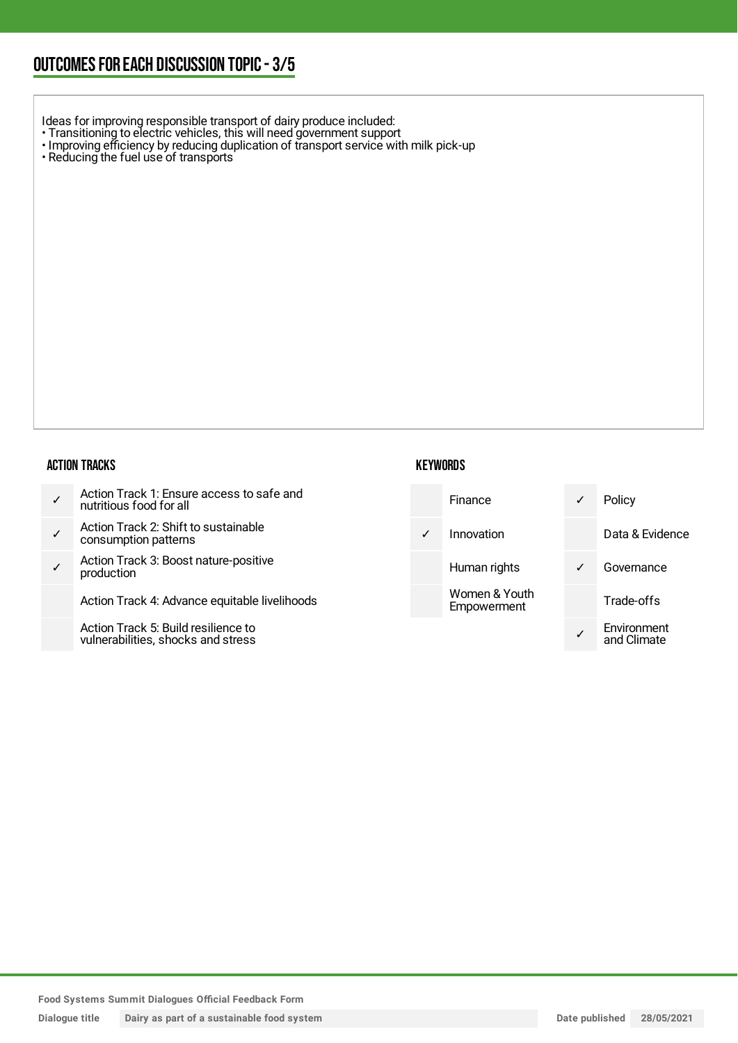## OUTCOMESFOR EACH DISCUSSION TOPIC- 3/5

Ideas for improving responsible transport of dairy produce included:

- Transitioning to electric vehicles, this will need government support
- Improving efficiency by reducing duplication of transport service with milk pick-up
- Reducing the fuel use of transports

#### ACTION TRACKS

- ✓ Action Track 1: Ensure access to safe and nutritious food for all
- ✓ Action Track 2: Shift to sustainable consumption patterns
- ✓ Action Track 3: Boost nature-positive production

Action Track 4: Advance equitable livelihoods

Action Track 5: Build resilience to vulnerabilities, shocks and stress

|   | Finance                      | Policy                     |
|---|------------------------------|----------------------------|
| ✓ | Innovation                   | Data & Evidence            |
|   | Human rights                 | Governance                 |
|   | Women & Youth<br>Empowerment | Trade-offs                 |
|   |                              | Environment<br>and Climate |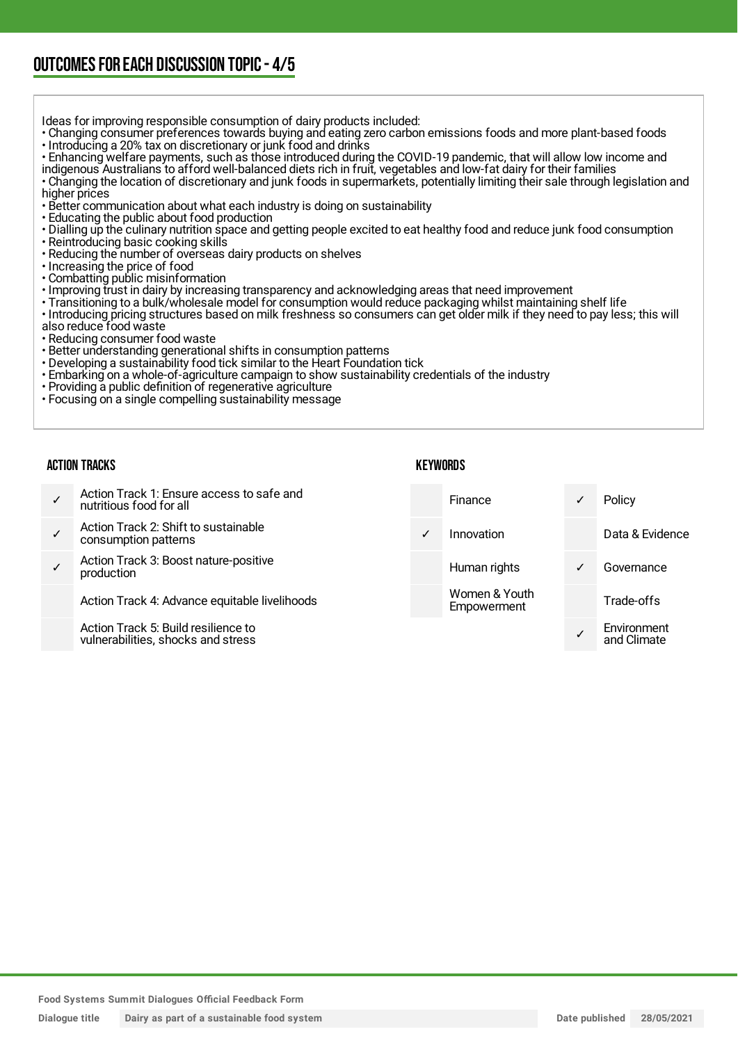## OUTCOMESFOR EACH DISCUSSION TOPIC- 4/5

Ideas for improving responsible consumption of dairy products included:

- Changing consumer preferences towards buying and eating zero carbon emissions foods and more plant-based foods • Introducing a 20% tax on discretionary or junk food and drinks
- Enhancing welfare payments, such as those introduced during the COVID-19 pandemic, that will allow low income and
- indigenous Australians to afford well-balanced diets rich in fruit, vegetables and low-fat dairy for their families
- Changing the location of discretionary and junk foods in supermarkets, potentially limiting their sale through legislation and higher prices
- Better communication about what each industry is doing on sustainability
- Educating the public about food production
- Dialling up the culinary nutrition space and getting people excited to eat healthy food and reduce junk food consumption • Reintroducing basic cooking skills
- Reducing the number of overseas dairy products on shelves
- Increasing the price of food
- Combatting public misinformation
- Improving trust in dairy by increasing transparency and acknowledging areas that need improvement
- Transitioning to a bulk/wholesale model for consumption would reduce packaging whilst maintaining shelf life
- Introducing pricing structures based on milk freshness so consumers can get older milk if they need to pay less; this will
- also reduce food waste
- Reducing consumer food waste
- Better understanding generational shifts in consumption patterns
- Developing a sustainability food tick similar to the Heart Foundation tick
- Embarking on a whole-of-agriculture campaign to show sustainability credentials of the industry
- Providing a public definition of regenerative agriculture
- Focusing on a single compelling sustainability message

#### ACTION TRACKS

| Action Track 1: Ensure access to safe and<br>nutritious food for all      |              | Finance                      | $\checkmark$ | Policy                     |
|---------------------------------------------------------------------------|--------------|------------------------------|--------------|----------------------------|
| Action Track 2: Shift to sustainable<br>consumption patterns              | $\checkmark$ | Innovation                   |              | Data & Evidence            |
| Action Track 3: Boost nature-positive<br>production                       |              | Human rights                 | $\checkmark$ | Governance                 |
| Action Track 4: Advance equitable livelihoods                             |              | Women & Youth<br>Empowerment |              | Trade-offs                 |
| Action Track 5: Build resilience to<br>vulnerabilities, shocks and stress |              |                              |              | Environment<br>and Climate |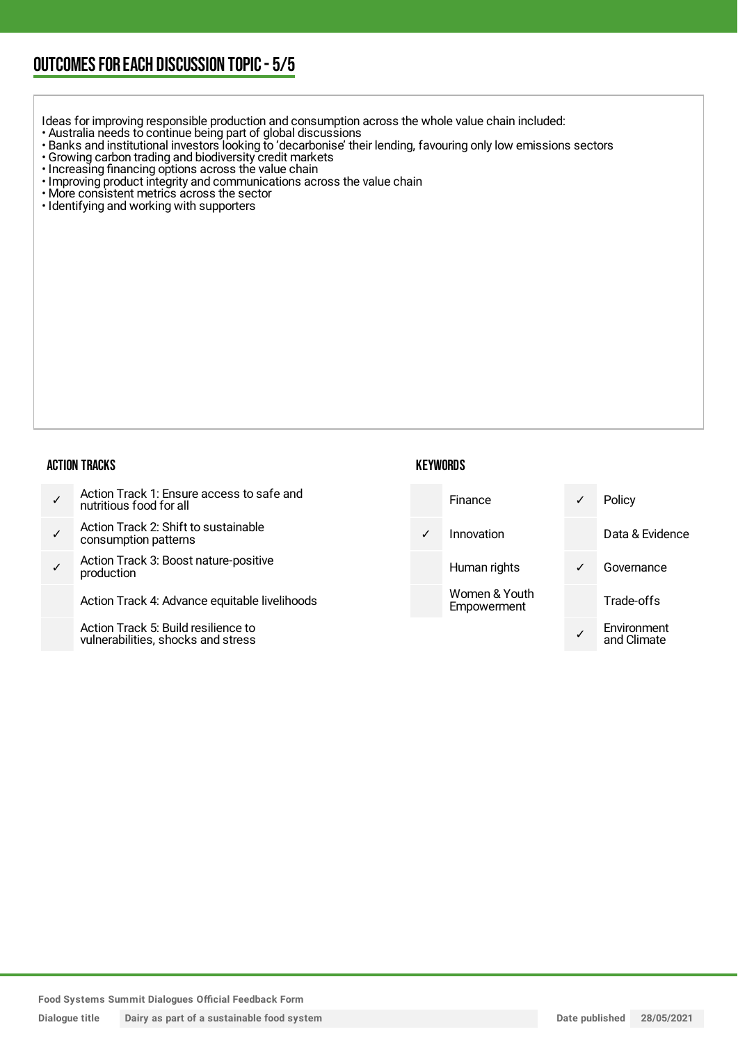## OUTCOMESFOR EACH DISCUSSION TOPIC- 5/5

Ideas for improving responsible production and consumption across the whole value chain included:

- Australia needs to continue being part of global discussions
- Banks and institutional investors looking to 'decarbonise' their lending, favouring only low emissions sectors
- Growing carbon trading and biodiversity credit markets
- Increasing financing options across the value chain
- Improving product integrity and communications across the value chain
- More consistent metrics across the sector
- Identifying and working with supporters

#### ACTION TRACKS

| ✓ | Action Track 1: Ensure access to safe and<br>nutritious food for all |
|---|----------------------------------------------------------------------|
|---|----------------------------------------------------------------------|

- ✓ Action Track 2: Shift to sustainable consumption patterns
- ✓ Action Track 3: Boost nature-positive production

Action Track 4: Advance equitable livelihoods

Action Track 5: Build resilience to vulnerabilities, shocks and stress

| <b>KEYWORDS</b> |
|-----------------|
|-----------------|

|   | Finance                      | ✓ | Policy                     |
|---|------------------------------|---|----------------------------|
| ✓ | Innovation                   |   | Data & Evidence            |
|   | Human rights                 | ✓ | Governance                 |
|   | Women & Youth<br>Empowerment |   | Trade-offs                 |
|   |                              |   | Environment<br>and Climate |